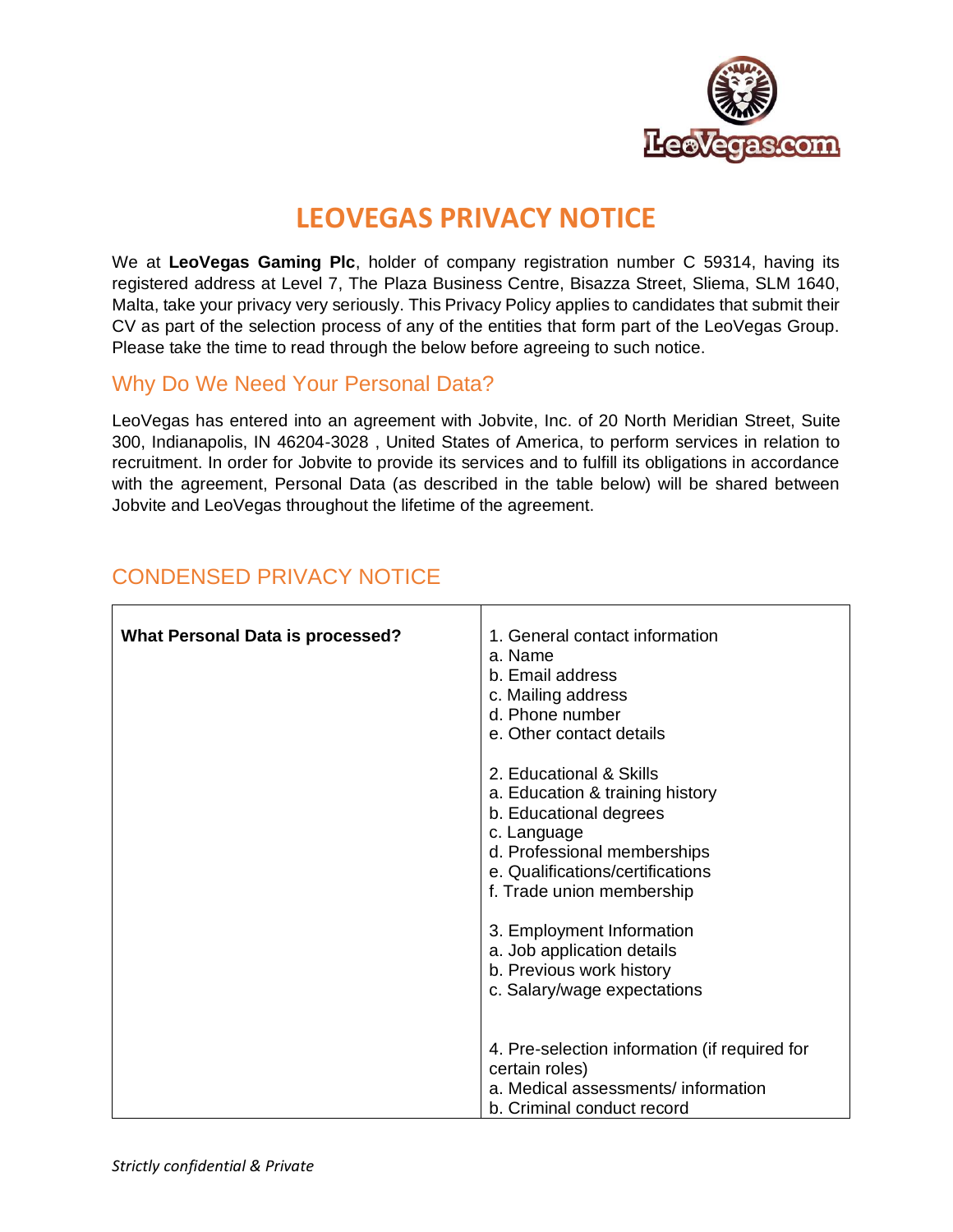

# **LEOVEGAS PRIVACY NOTICE**

We at **LeoVegas Gaming Plc**, holder of company registration number C 59314, having its registered address at Level 7, The Plaza Business Centre, Bisazza Street, Sliema, SLM 1640, Malta, take your privacy very seriously. This Privacy Policy applies to candidates that submit their CV as part of the selection process of any of the entities that form part of the LeoVegas Group. Please take the time to read through the below before agreeing to such notice.

#### Why Do We Need Your Personal Data?

LeoVegas has entered into an agreement with Jobvite, Inc. of 20 North Meridian Street, Suite 300, Indianapolis, IN 46204-3028 , United States of America, to perform services in relation to recruitment. In order for Jobvite to provide its services and to fulfill its obligations in accordance with the agreement, Personal Data (as described in the table below) will be shared between Jobvite and LeoVegas throughout the lifetime of the agreement.

| <b>What Personal Data is processed?</b> | 1. General contact information<br>a. Name<br>b. Email address<br>c. Mailing address<br>d. Phone number<br>e. Other contact details                                                                  |
|-----------------------------------------|-----------------------------------------------------------------------------------------------------------------------------------------------------------------------------------------------------|
|                                         | 2. Educational & Skills<br>a. Education & training history<br>b. Educational degrees<br>c. Language<br>d. Professional memberships<br>e. Qualifications/certifications<br>f. Trade union membership |
|                                         | 3. Employment Information<br>a. Job application details<br>b. Previous work history<br>c. Salary/wage expectations                                                                                  |
|                                         | 4. Pre-selection information (if required for<br>certain roles)<br>a. Medical assessments/ information<br>b. Criminal conduct record                                                                |

## CONDENSED PRIVACY NOTICE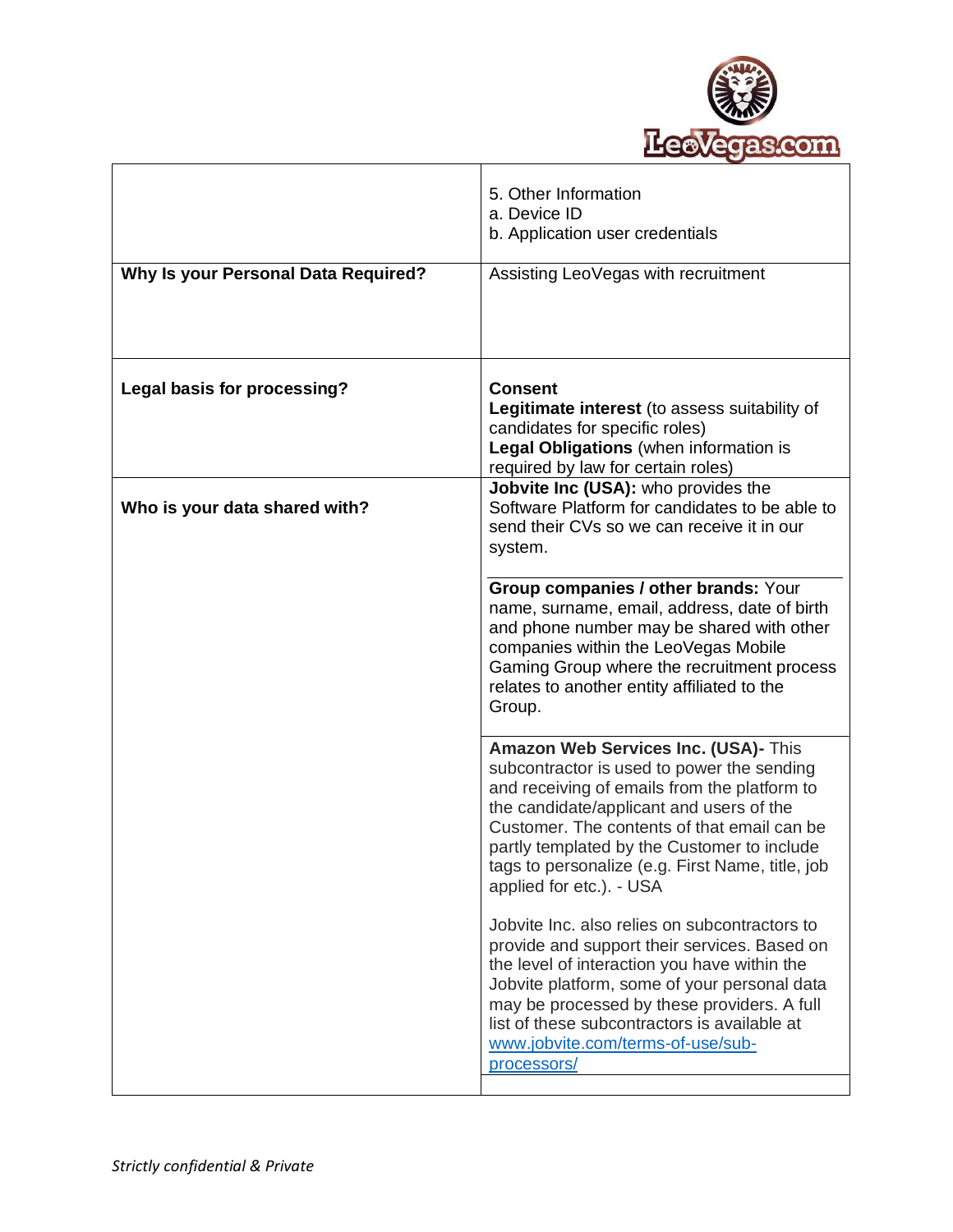

|                                            | 5. Other Information<br>a. Device ID<br>b. Application user credentials                                                                                                                                                                                                                                                                                      |
|--------------------------------------------|--------------------------------------------------------------------------------------------------------------------------------------------------------------------------------------------------------------------------------------------------------------------------------------------------------------------------------------------------------------|
| <b>Why Is your Personal Data Required?</b> | Assisting LeoVegas with recruitment                                                                                                                                                                                                                                                                                                                          |
| Legal basis for processing?                | <b>Consent</b><br>Legitimate interest (to assess suitability of<br>candidates for specific roles)<br>Legal Obligations (when information is<br>required by law for certain roles)                                                                                                                                                                            |
| Who is your data shared with?              | Jobvite Inc (USA): who provides the<br>Software Platform for candidates to be able to<br>send their CVs so we can receive it in our<br>system.                                                                                                                                                                                                               |
|                                            | Group companies / other brands: Your<br>name, surname, email, address, date of birth<br>and phone number may be shared with other<br>companies within the LeoVegas Mobile<br>Gaming Group where the recruitment process<br>relates to another entity affiliated to the<br>Group.                                                                             |
|                                            | Amazon Web Services Inc. (USA)- This<br>subcontractor is used to power the sending<br>and receiving of emails from the platform to<br>the candidate/applicant and users of the<br>Customer. The contents of that email can be<br>partly templated by the Customer to include<br>tags to personalize (e.g. First Name, title, job<br>applied for etc.). - USA |
|                                            | Jobvite Inc. also relies on subcontractors to<br>provide and support their services. Based on<br>the level of interaction you have within the<br>Jobvite platform, some of your personal data<br>may be processed by these providers. A full<br>list of these subcontractors is available at<br>www.jobvite.com/terms-of-use/sub-<br>processors/             |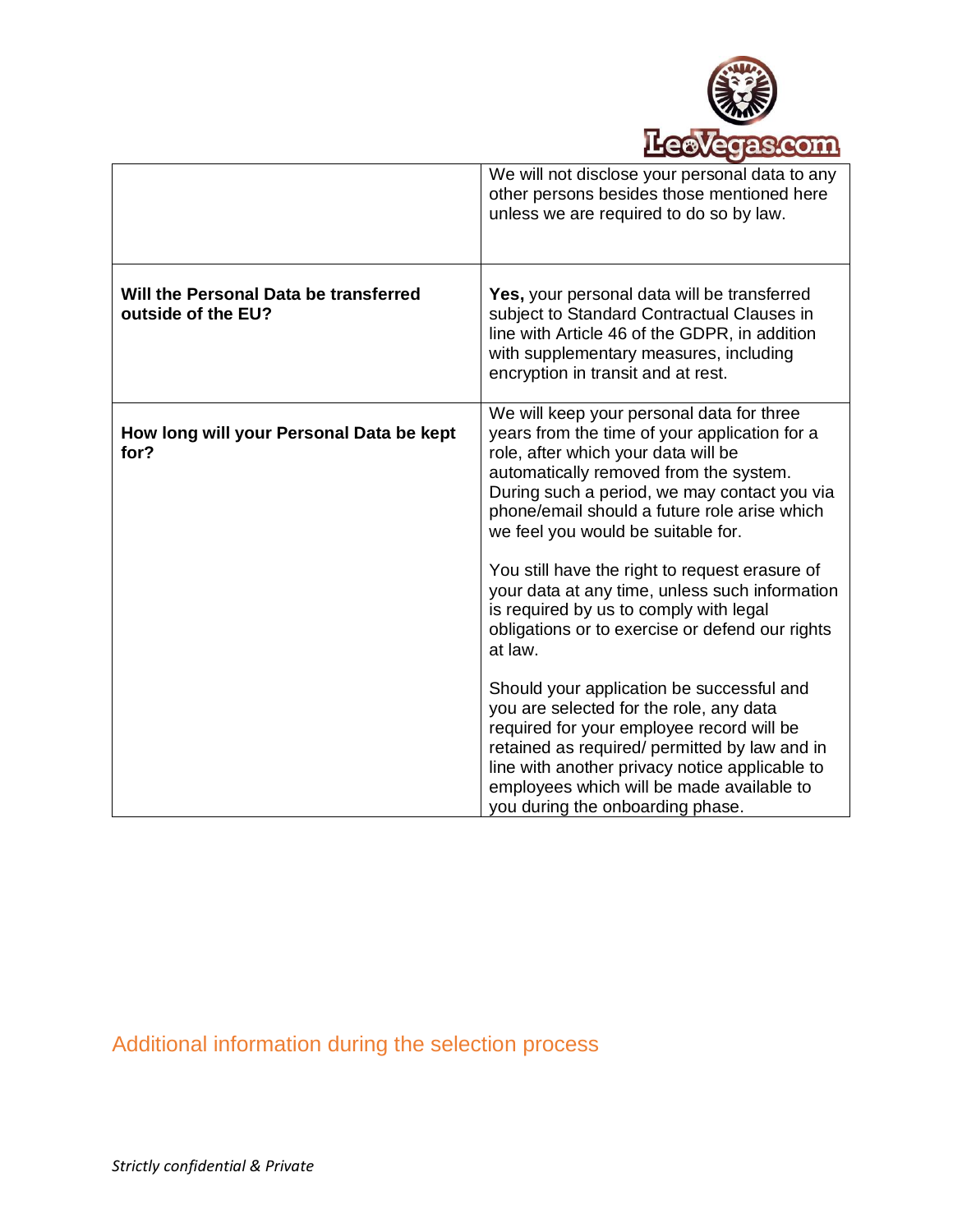

|                                                             | We will not disclose your personal data to any<br>other persons besides those mentioned here<br>unless we are required to do so by law.                                                                                                                                                                                                                                                                               |
|-------------------------------------------------------------|-----------------------------------------------------------------------------------------------------------------------------------------------------------------------------------------------------------------------------------------------------------------------------------------------------------------------------------------------------------------------------------------------------------------------|
| Will the Personal Data be transferred<br>outside of the EU? | Yes, your personal data will be transferred<br>subject to Standard Contractual Clauses in<br>line with Article 46 of the GDPR, in addition<br>with supplementary measures, including<br>encryption in transit and at rest.                                                                                                                                                                                            |
| How long will your Personal Data be kept<br>for?            | We will keep your personal data for three<br>years from the time of your application for a<br>role, after which your data will be<br>automatically removed from the system.<br>During such a period, we may contact you via<br>phone/email should a future role arise which<br>we feel you would be suitable for.<br>You still have the right to request erasure of<br>your data at any time, unless such information |
|                                                             | is required by us to comply with legal<br>obligations or to exercise or defend our rights<br>at law.                                                                                                                                                                                                                                                                                                                  |
|                                                             | Should your application be successful and<br>you are selected for the role, any data<br>required for your employee record will be<br>retained as required/ permitted by law and in<br>line with another privacy notice applicable to<br>employees which will be made available to<br>you during the onboarding phase.                                                                                                 |

Additional information during the selection process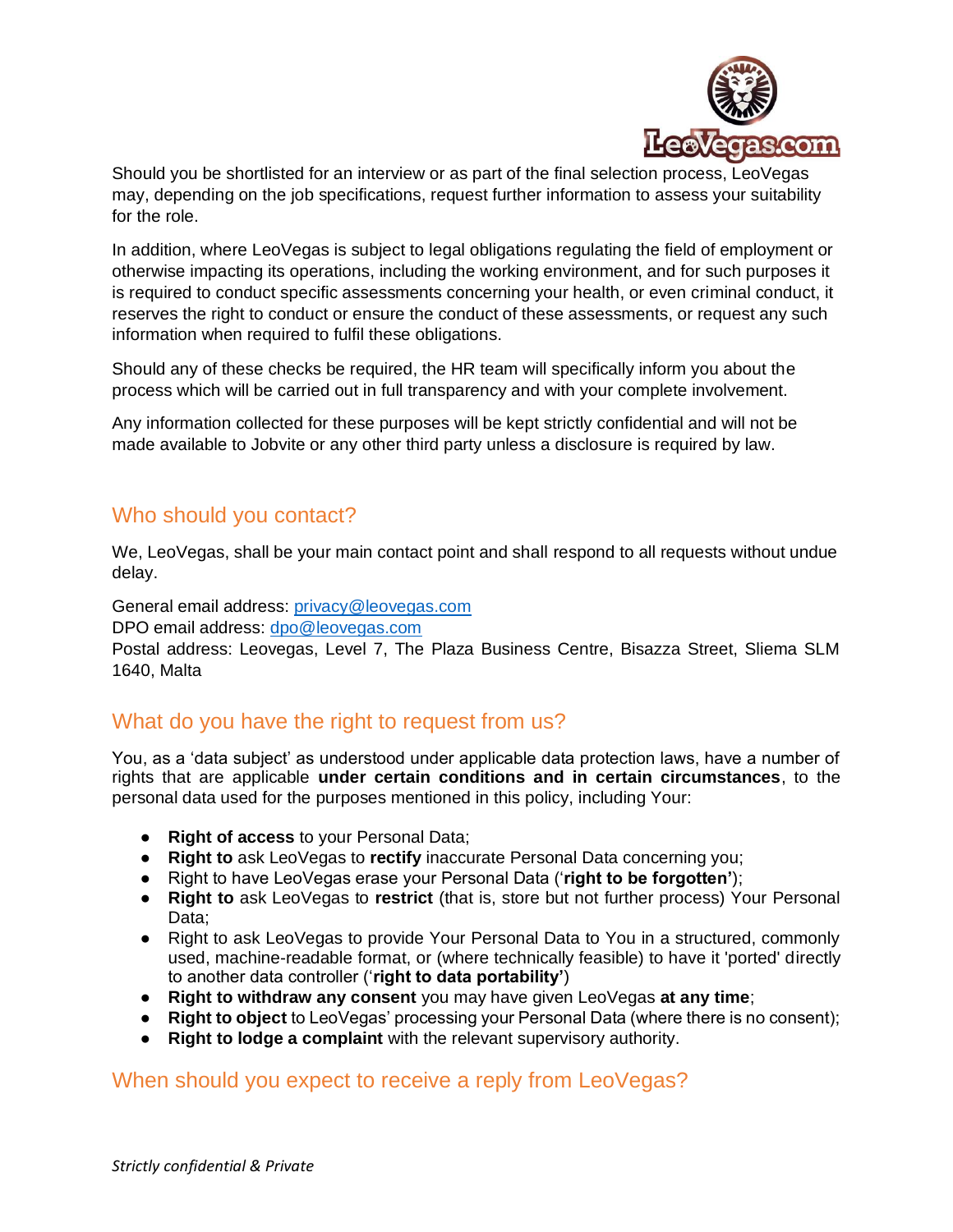

Should you be shortlisted for an interview or as part of the final selection process, LeoVegas may, depending on the job specifications, request further information to assess your suitability for the role.

In addition, where LeoVegas is subject to legal obligations regulating the field of employment or otherwise impacting its operations, including the working environment, and for such purposes it is required to conduct specific assessments concerning your health, or even criminal conduct, it reserves the right to conduct or ensure the conduct of these assessments, or request any such information when required to fulfil these obligations.

Should any of these checks be required, the HR team will specifically inform you about the process which will be carried out in full transparency and with your complete involvement.

Any information collected for these purposes will be kept strictly confidential and will not be made available to Jobvite or any other third party unless a disclosure is required by law.

### Who should you contact?

We, LeoVegas, shall be your main contact point and shall respond to all requests without undue delay.

General email address: [privacy@leovegas.com](mailto:privacy@leovegas.com)

DPO email address: [dpo@leovegas.com](mailto:dpo@leovegas.com)

Postal address: Leovegas, Level 7, The Plaza Business Centre, Bisazza Street, Sliema SLM 1640, Malta

#### What do you have the right to request from us?

You, as a 'data subject' as understood under applicable data protection laws, have a number of rights that are applicable **under certain conditions and in certain circumstances**, to the personal data used for the purposes mentioned in this policy, including Your:

- **Right of access** to your Personal Data;
- **Right to** ask LeoVegas to **rectify** inaccurate Personal Data concerning you;
- Right to have LeoVegas erase your Personal Data ('**right to be forgotten'**);
- **Right to** ask LeoVegas to **restrict** (that is, store but not further process) Your Personal Data;
- Right to ask LeoVegas to provide Your Personal Data to You in a structured, commonly used, machine-readable format, or (where technically feasible) to have it 'ported' directly to another data controller ('**right to data portability'**)
- **Right to withdraw any consent** you may have given LeoVegas **at any time**;
- **Right to object** to LeoVegas' processing your Personal Data (where there is no consent);
- **Right to lodge a complaint** with the relevant supervisory authority.

#### When should you expect to receive a reply from LeoVegas?